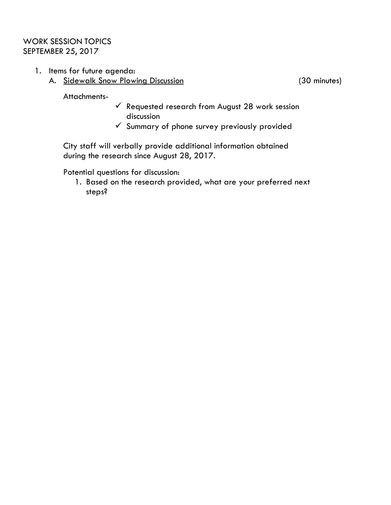## WORK SESSION TOPICS SEPTEMBER 25, 2017

- 1. Items for future agenda:
	- A. Sidewalk Snow Plowing Discussion (30 minutes)

Attachments-

- $\checkmark$  Requested research from August 28 work session discussion
- $\checkmark$  Summary of phone survey previously provided

City staff will verbally provide additional information obtained during the research since August 28, 2017.

Potential questions for discussion:

1. Based on the research provided, what are your preferred next steps?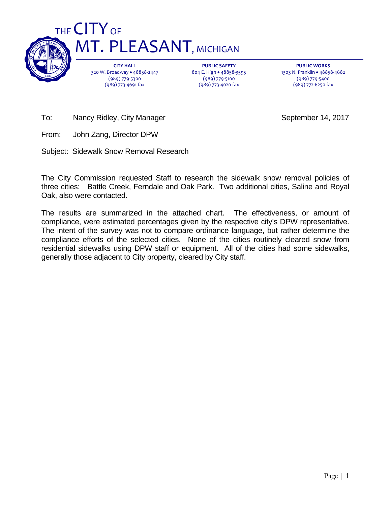

**CITY HALL** 320 W. Broadway • 48858-2447 (989) 779‐5300 (989) 773‐4691 fax

**PUBLIC SAFETY** 804 E. High · 48858-3595 (989) 779‐5100 (989) 773‐4020 fax

**PUBLIC WORKS** 1303 N. Franklin · 48858-4682 (989) 779‐5400 (989) 772‐6250 fax

To: Nancy Ridley, City Manager September 14, 2017

From: John Zang, Director DPW

Subject: Sidewalk Snow Removal Research

The City Commission requested Staff to research the sidewalk snow removal policies of three cities: Battle Creek, Ferndale and Oak Park. Two additional cities, Saline and Royal Oak, also were contacted.

The results are summarized in the attached chart. The effectiveness, or amount of compliance, were estimated percentages given by the respective city's DPW representative. The intent of the survey was not to compare ordinance language, but rather determine the compliance efforts of the selected cities. None of the cities routinely cleared snow from residential sidewalks using DPW staff or equipment. All of the cities had some sidewalks, generally those adjacent to City property, cleared by City staff.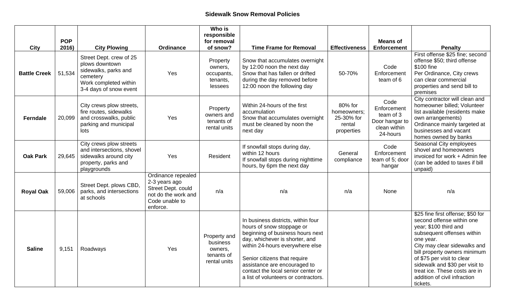## **Sidewalk Snow Removal Policies**

|                                    | <b>POP</b>      |                                                                                                                                                         |                                                                                                                | Who is<br>responsible<br>for removal                                 |                                                                                                                                                                                                                                                                                                                        |                                                              | <b>Means of</b>                                                                |                                                                                                                                                                                                                                                                                                                                                 |
|------------------------------------|-----------------|---------------------------------------------------------------------------------------------------------------------------------------------------------|----------------------------------------------------------------------------------------------------------------|----------------------------------------------------------------------|------------------------------------------------------------------------------------------------------------------------------------------------------------------------------------------------------------------------------------------------------------------------------------------------------------------------|--------------------------------------------------------------|--------------------------------------------------------------------------------|-------------------------------------------------------------------------------------------------------------------------------------------------------------------------------------------------------------------------------------------------------------------------------------------------------------------------------------------------|
| <b>City</b><br><b>Battle Creek</b> | 2016)<br>51,534 | <b>City Plowing</b><br>Street Dept. crew of 25<br>plows downtown<br>sidewalks, parks and<br>cemetery<br>Work completed within<br>3-4 days of snow event | <b>Ordinance</b><br>Yes                                                                                        | of snow?<br>Property<br>owners,<br>occupants,<br>tenants,<br>lessees | <b>Time Frame for Removal</b><br>Snow that accumulates overnight<br>by 12:00 noon the next day<br>Snow that has fallen or drifted<br>during the day removed before<br>12:00 noon the following day                                                                                                                     | <b>Effectiveness</b><br>50-70%                               | <b>Enforcement</b><br>Code<br>Enforcement<br>team of 6                         | <b>Penalty</b><br>First offense \$25 fine; second<br>offense \$50; third offense<br>\$100 fine<br>Per Ordinance, City crews<br>can clear commercial<br>properties and send bill to<br>premises                                                                                                                                                  |
| <b>Ferndale</b>                    | 20,099          | City crews plow streets,<br>fire routes, sidewalks<br>and crosswalks, public<br>parking and municipal<br>lots                                           | Yes                                                                                                            | Property<br>owners and<br>tenants of<br>rental units                 | Within 24-hours of the first<br>accumulation<br>Snow that accumulates overnight<br>must be cleaned by noon the<br>next day                                                                                                                                                                                             | 80% for<br>homeowners;<br>25-30% for<br>rental<br>properties | Code<br>Enforcement<br>team of 3<br>Door hangar to<br>clean within<br>24-hours | City contractor will clean and<br>homeowner billed; Volunteer<br>list available (residents make<br>own arrangements)<br>Ordinance mainly targeted at<br>businesses and vacant<br>homes owned by banks                                                                                                                                           |
| <b>Oak Park</b>                    | 29,645          | City crews plow streets<br>and intersections, shovel<br>sidewalks around city<br>property, parks and<br>playgrounds                                     | Yes                                                                                                            | Resident                                                             | If snowfall stops during day,<br>within 12 hours<br>If snowfall stops during nighttime<br>hours, by 6pm the next day                                                                                                                                                                                                   | General<br>compliance                                        | Code<br>Enforcement<br>team of 5; door<br>hangar                               | Seasonal City employees<br>shovel and homeowners<br>invoiced for work + Admin fee<br>(can be added to taxes if bill<br>unpaid)                                                                                                                                                                                                                  |
| <b>Royal Oak</b>                   | 59,006          | Street Dept. plows CBD,<br>parks, and intersections<br>at schools                                                                                       | Ordinance repealed<br>2-3 years ago<br>Street Dept. could<br>not do the work and<br>Code unable to<br>enforce. | n/a                                                                  | n/a                                                                                                                                                                                                                                                                                                                    | n/a                                                          | None                                                                           | n/a                                                                                                                                                                                                                                                                                                                                             |
| <b>Saline</b>                      |                 | $9,151$ Roadways                                                                                                                                        | Yes                                                                                                            | Property and<br>business<br>owners,<br>tenants of<br>rental units    | In business districts, within four<br>hours of snow stoppage or<br>beginning of business hours next<br>day, whichever is shorter, and<br>within 24-hours everywhere else<br>Senior citizens that require<br>assistance are encouraged to<br>contact the local senior center or<br>a list of volunteers or contractors. |                                                              |                                                                                | \$25 fine first offense; \$50 for<br>second offense within one<br>year; \$100 third and<br>subsequent offenses within<br>one year.<br>City may clear sidewalks and<br>bill property owners minimum<br>of \$75 per visit to clear<br>sidewalk and \$30 per visit to<br>treat ice. These costs are in<br>addition of civil infraction<br>tickets. |